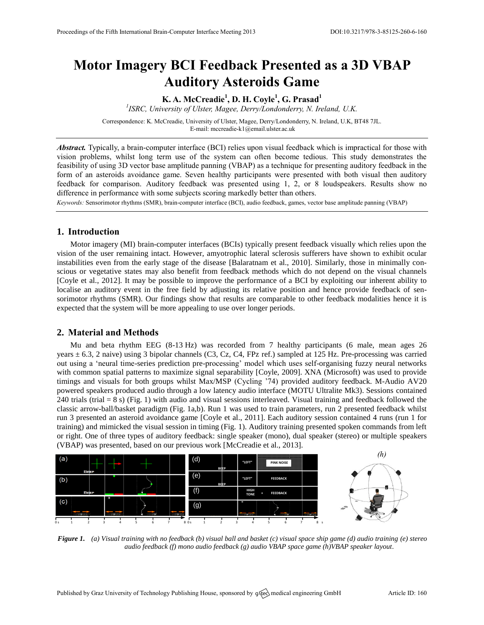# **Motor Imagery BCI Feedback Presented as a 3D VBAP Auditory Asteroids Game**

**K. A. McCreadie<sup>1</sup> , D. H. Coyle<sup>1</sup> , G. Prasad<sup>1</sup>**

*1 ISRC, University of Ulster, Magee, Derry/Londonderry, N. Ireland, U.K.*

Correspondence: K. McCreadie, University of Ulster, Magee, Derry/Londonderry, N. Ireland, U.K, BT48 7JL. E-mail[: mccreadie-k1@email.ulster.ac.uk](mailto:mccreadie-k1@email.ulster.ac.uk)

*Abstract.* Typically, a brain-computer interface (BCI) relies upon visual feedback which is impractical for those with vision problems, whilst long term use of the system can often become tedious. This study demonstrates the feasibility of using 3D vector base amplitude panning (VBAP) as a technique for presenting auditory feedback in the form of an asteroids avoidance game. Seven healthy participants were presented with both visual then auditory feedback for comparison. Auditory feedback was presented using 1, 2, or 8 loudspeakers. Results show no difference in performance with some subjects scoring markedly better than others.

*Keywords:* Sensorimotor rhythms (SMR), brain-computer interface (BCI), audio feedback, games, vector base amplitude panning (VBAP)

### **1. Introduction**

Motor imagery (MI) brain-computer interfaces (BCIs) typically present feedback visually which relies upon the vision of the user remaining intact. However, amyotrophic lateral sclerosis sufferers have shown to exhibit ocular instabilities even from the early stage of the disease [Balaratnam et al., 2010]. Similarly, those in minimally conscious or vegetative states may also benefit from feedback methods which do not depend on the visual channels [Coyle et al., 2012]. It may be possible to improve the performance of a BCI by exploiting our inherent ability to localise an auditory event in the free field by adjusting its relative position and hence provide feedback of sensorimotor rhythms (SMR). Our findings show that results are comparable to other feedback modalities hence it is expected that the system will be more appealing to use over longer periods.

### **2. Material and Methods**

Mu and beta rhythm EEG (8-13 Hz) was recorded from 7 healthy participants (6 male, mean ages 26 years  $\pm$  6.3, 2 naive) using 3 bipolar channels (C3, Cz, C4, FPz ref.) sampled at 125 Hz. Pre-processing was carried out using a 'neural time-series prediction pre-processing' model which uses self-organising fuzzy neural networks with common spatial patterns to maximize signal separability [Coyle, 2009]. XNA (Microsoft) was used to provide timings and visuals for both groups whilst Max/MSP (Cycling '74) provided auditory feedback. M-Audio AV20 powered speakers produced audio through a low latency audio interface (MOTU Ultralite Mk3). Sessions contained 240 trials (trial  $= 8$  s) (Fig. 1) with audio and visual sessions interleaved. Visual training and feedback followed the classic arrow-ball/basket paradigm (Fig. 1a,b). Run 1 was used to train parameters, run 2 presented feedback whilst run 3 presented an asteroid avoidance game [Coyle et al., 2011]. Each auditory session contained 4 runs (run 1 for training) and mimicked the visual session in timing (Fig. 1). Auditory training presented spoken commands from left or right. One of three types of auditory feedback: single speaker (mono), dual speaker (stereo) or multiple speakers (VBAP) was presented, based on our previous work [McCreadie et al., 2013].



*Figure 1. (a) Visual training with no feedback (b) visual ball and basket (c) visual space ship game (d) audio training (e) stereo audio feedback (f) mono audio feedback (g) audio VBAP space game (h)VBAP speaker layout.*